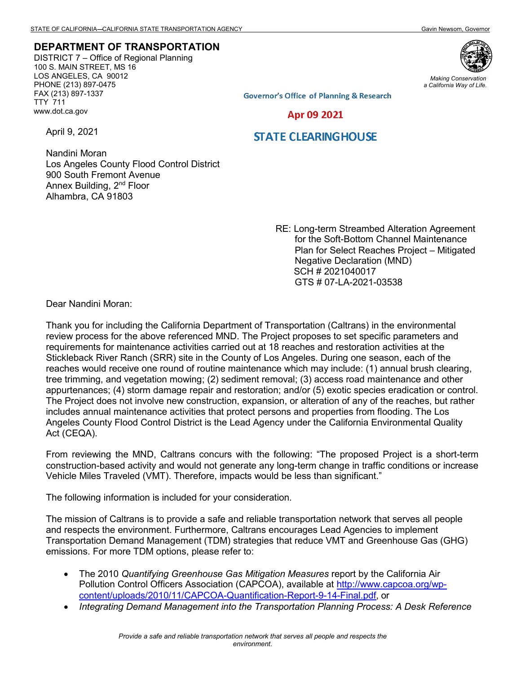## **DEPARTMENT OF TRANSPORTATION**

DISTRICT 7 – Office of Regional Planning 100 S. MAIN STREET, MS 16 LOS ANGELES, CA 90012 PHONE (213) 897-0475 FAX (213) 897-1337 TTY 711 www.dot.ca.gov



*Making Conservation a California Way of Life.*

**Governor's Office of Planning & Research** 

Apr 09 2021

## **STATE CLEARING HOUSE**

Nandini Moran Los Angeles County Flood Control District 900 South Fremont Avenue Annex Building, 2nd Floor Alhambra, CA 91803

> RE: Long-term Streambed Alteration Agreement for the Soft-Bottom Channel Maintenance Plan for Select Reaches Project – Mitigated Negative Declaration (MND) SCH # 2021040017 GTS # 07-LA-2021-03538

Dear Nandini Moran:

April 9, 2021

Thank you for including the California Department of Transportation (Caltrans) in the environmental review process for the above referenced MND. The Project proposes to set specific parameters and requirements for maintenance activities carried out at 18 reaches and restoration activities at the Stickleback River Ranch (SRR) site in the County of Los Angeles. During one season, each of the reaches would receive one round of routine maintenance which may include: (1) annual brush clearing, tree trimming, and vegetation mowing; (2) sediment removal; (3) access road maintenance and other appurtenances; (4) storm damage repair and restoration; and/or (5) exotic species eradication or control. The Project does not involve new construction, expansion, or alteration of any of the reaches, but rather includes annual maintenance activities that protect persons and properties from flooding. The Los Angeles County Flood Control District is the Lead Agency under the California Environmental Quality Act (CEQA).

From reviewing the MND, Caltrans concurs with the following: "The proposed Project is a short-term construction-based activity and would not generate any long-term change in traffic conditions or increase Vehicle Miles Traveled (VMT). Therefore, impacts would be less than significant."

The following information is included for your consideration.

The mission of Caltrans is to provide a safe and reliable transportation network that serves all people and respects the environment. Furthermore, Caltrans encourages Lead Agencies to implement Transportation Demand Management (TDM) strategies that reduce VMT and Greenhouse Gas (GHG) emissions. For more TDM options, please refer to:

- The 2010 *Quantifying Greenhouse Gas Mitigation Measures* report by the California Air Pollution Control Officers Association (CAPCOA), available at http://www.capcoa.org/wpcontent/uploads/2010/11/CAPCOA-Quantification-Report-9-14-Final.pdf, or
- *Integrating Demand Management into the Transportation Planning Process: A Desk Reference*